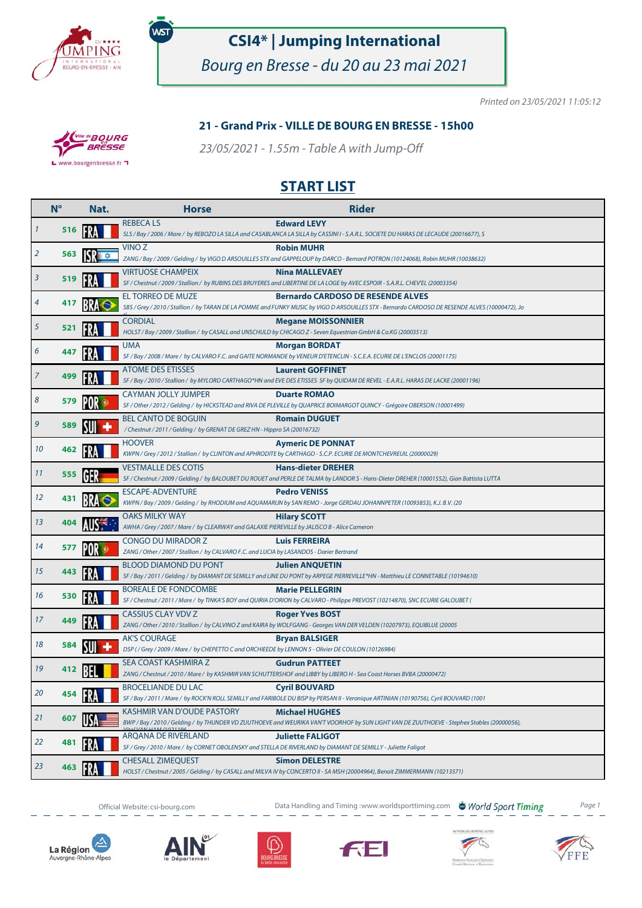

.<br>WST

## **CSI4\* | Jumping International**

Bourg en Bresse - du 20 au 23 mai 2021

Printed on 23/05/2021 11:05:12

#### **21 - Grand Prix - VILLE DE BOURG EN BRESSE - 15h00**

23/05/2021 - 1.55m - Table A with Jump-Off



### **START LIST**

|    | $N^{\circ}$ | Nat. | <b>Horse</b>                                                                                                          | <b>Rider</b>                                                                                                                                                                                |
|----|-------------|------|-----------------------------------------------------------------------------------------------------------------------|---------------------------------------------------------------------------------------------------------------------------------------------------------------------------------------------|
|    | 516         |      | <b>REBECALS</b>                                                                                                       | <b>Edward LEVY</b><br>SLS / Bay / 2006 / Mare / by REBOZO LA SILLA and CASABLANCA LA SILLA by CASSINI I - S.A.R.L. SOCIETE DU HARAS DE LECAUDE (20016677), S                                |
| 2  | 563         |      | VINO Z                                                                                                                | <b>Robin MUHR</b><br>ZANG / Bay / 2009 / Gelding / by VIGO D ARSOUILLES STX and GAPPELOUP by DARCO - Bernard POTRON (10124068), Robin MUHR (10038632)                                       |
| 3  | 519         |      | <b>VIRTUOSE CHAMPEIX</b>                                                                                              | <b>Nina MALLEVAEY</b><br>SF / Chestnut / 2009 / Stallion / by RUBINS DES BRUYERES and LIBERTINE DE LA LOGE by AVEC ESPOIR - S.A.R.L. CHEV'EL (20003354)                                     |
| 4  | 417         |      | EL TORREO DE MUZE                                                                                                     | <b>Bernardo CARDOSO DE RESENDE ALVES</b><br>SBS / Grey / 2010 / Stallion / by TARAN DE LA POMME and FUNKY MUSIC by VIGO D ARSOUILLES STX - Bernardo CARDOSO DE RESENDE ALVES (10000472), Jo |
| 5  | 521         |      | <b>CORDIAL</b>                                                                                                        | <b>Megane MOISSONNIER</b><br>HOLST / Bay / 2009 / Stallion / by CASALL and UNSCHULD by CHICAGO Z - Seven Equestrian GmbH & Co.KG (20003513)                                                 |
| 6  | 447         |      | <b>UMA</b>                                                                                                            | <b>Morgan BORDAT</b><br>SF / Bay / 2008 / Mare / by CALVARO F.C. and GAITE NORMANDE by VENEUR D'ETENCLIN - S.C.E.A. ECURIE DE L'ENCLOS (20001175)                                           |
| 7  | 499         |      | <b>ATOME DES ETISSES</b>                                                                                              | <b>Laurent GOFFINET</b><br>SF / Bay / 2010 / Stallion / by MYLORD CARTHAGO*HN and EVE DES ETISSES SF by QUIDAM DE REVEL - E.A.R.L. HARAS DE LACKE (20001196)                                |
| 8  | 579         |      | <b>CAYMAN JOLLY JUMPER</b>                                                                                            | <b>Duarte ROMAO</b><br>SF / Other / 2012 / Gelding / by HICKSTEAD and RIVA DE PLEVILLE by QUAPRICE BOIMARGOT QUINCY - Grégoire OBERSON (10001499)                                           |
| 9  | 589         |      | <b>BEL CANTO DE BOGUIN</b><br>/ Chestnut / 2011 / Gelding / by GRENAT DE GREZ HN - Hippro SA (20016732)               | <b>Romain DUGUET</b>                                                                                                                                                                        |
| 10 | 462         |      | <b>HOOVER</b>                                                                                                         | <b>Aymeric DE PONNAT</b><br>KWPN / Grey / 2012 / Stallion / by CLINTON and APHRODITE by CARTHAGO - S.C.P. ECURIE DE MONTCHEVREUIL (20000029)                                                |
| 11 | 555         |      | <b>VESTMALLE DES COTIS</b>                                                                                            | <b>Hans-dieter DREHER</b><br>SF / Chestnut / 2009 / Gelding / by BALOUBET DU ROUET and PERLE DE TALMA by LANDOR S - Hans-Dieter DREHER (10001552), Gian Battista LUTTA                      |
| 12 | 431         |      | <b>ESCAPE-ADVENTURE</b>                                                                                               | <b>Pedro VENISS</b><br>KWPN / Bay / 2009 / Gelding / by RHODIUM and AQUAMARIJN by SAN REMO - Jorge GERDAU JOHANNPETER (10093853), K.J. B.V. (20                                             |
| 13 | 404         |      | OAKS MILKY WAY<br>AWHA / Grey / 2007 / Mare / by CLEARWAY and GALAXIE PIEREVILLE by JALISCO B - Alice Cameron         | <b>Hilary SCOTT</b>                                                                                                                                                                         |
| 14 | 577         |      | <b>CONGO DU MIRADOR Z</b><br>ZANG / Other / 2007 / Stallion / by CALVARO F.C. and LUCIA by LASANDOS - Darier Bertrand | <b>Luis FERREIRA</b>                                                                                                                                                                        |
| 15 | 443         |      | <b>BLOOD DIAMOND DU PONT</b>                                                                                          | <b>Julien ANQUETIN</b><br>SF / Bay / 2011 / Gelding / by DIAMANT DE SEMILLY and LINE DU PONT by ARPEGE PIERREVILLE*HN - Matthieu LE CONNETABLE (10194610)                                   |
| 16 | 530         |      | <b>BOREALE DE FONDCOMBE</b>                                                                                           | <b>Marie PELLEGRIN</b><br>SF / Chestnut / 2011 / Mare / by TINKA'S BOY and QUIRIA D'ORION by CALVARO - Philippe PREVOST (10214870), SNC ECURIE GALOUBET (                                   |
| 17 | 449         |      | <b>CASSIUS CLAY VDV Z</b>                                                                                             | <b>Roger Yves BOST</b><br>ZANG / Other / 2010 / Stallion / by CALVINO Z and KAIRA by WOLFGANG - Georges VAN DER VELDEN (10207973), EQUIBLUE (20005                                          |
| 18 | 584         |      | <b>AK'S COURAGE</b><br>DSP (/Grey/2009/Mare/ by CHEPETTO C and ORCHIEEDE by LENNON 5 - Olivier DE COULON (10126984)   | <b>Bryan BALSIGER</b>                                                                                                                                                                       |
| 19 | 412         |      | SEA COAST KASHMIRA Z                                                                                                  | <b>Gudrun PATTEET</b><br>ZANG / Chestnut / 2010 / Mare / by KASHMIR VAN SCHUTTERSHOF and LIBBY by LIBERO H - Sea Coast Horses BVBA (20000472)                                               |
| 20 |             |      | <b>BROCELIANDE DU LAC</b>                                                                                             | <b>Cyril BOUVARD</b><br>SF / Bay / 2011 / Mare / by ROCK'N ROLL SEMILLY and FARIBOLE DU BISP by PERSAN II - Veronique ARTINIAN (10190756), Cyril BOUVARD (1001                              |
| 21 | 607         |      | <b>KASHMIR VAN D'OUDE PASTORY</b>                                                                                     | <b>Michael HUGHES</b><br>BWP / Bay / 2010 / Gelding / by THUNDER VD ZUUTHOEVE and WEURIKA VAN'T VOORHOF by SUN LIGHT VAN DE ZUUTHOEVE - Stephex Stables (20000056),                         |
| 22 | 481         |      | ARQANA DE RIVERLAND                                                                                                   | <b>Juliette FALIGOT</b><br>SF / Grey / 2010 / Mare / by CORNET OBOLENSKY and STELLA DE RIVERLAND by DIAMANT DE SEMILLY - Juliette Faligot                                                   |
| 23 | 463         |      | <b>CHESALL ZIMEQUEST</b>                                                                                              | <b>Simon DELESTRE</b><br>HOLST / Chestnut / 2005 / Gelding / by CASALL and MILVA IV by CONCERTO II - SA MSH (20004964), Benoit ZIMMERMANN (10213571)                                        |



Official Website:csi-bourg.com **Data Handling and Timing :www.worldsporttiming.com** World Sport Timing Page 1













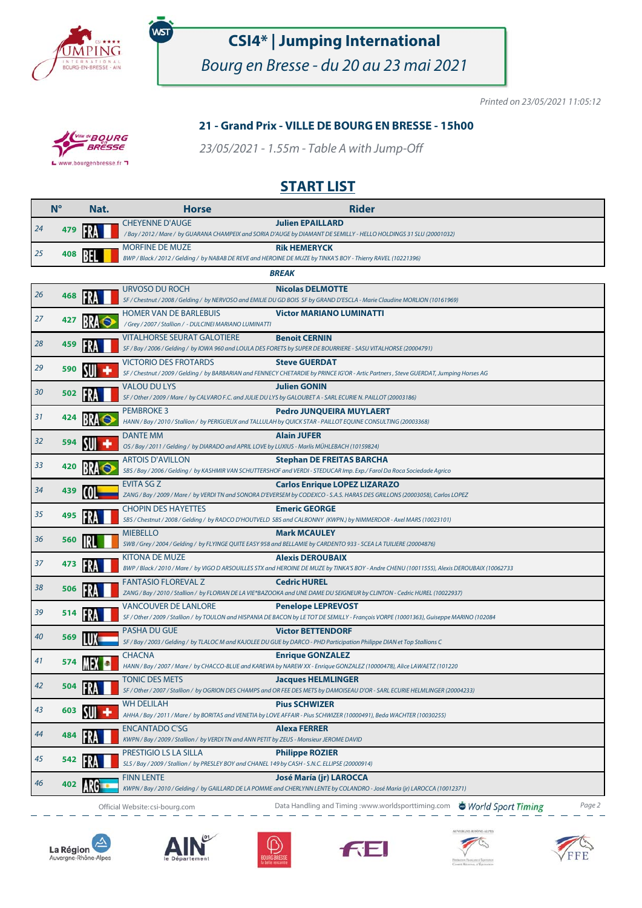

.<br>WST

# **CSI4\* | Jumping International**

Bourg en Bresse - du 20 au 23 mai 2021

Printed on 23/05/2021 11:05:12

#### **21 - Grand Prix - VILLE DE BOURG EN BRESSE - 15h00**

23/05/2021 - 1.55m - Table A with Jump-Off



**BOURG** 

### **START LIST**

|    | $N^{\circ}$  | Nat. | <b>Horse</b>                                                                                                                         | <b>Rider</b>                                                                                                                                                        |  |  |  |
|----|--------------|------|--------------------------------------------------------------------------------------------------------------------------------------|---------------------------------------------------------------------------------------------------------------------------------------------------------------------|--|--|--|
| 24 | 479          |      | <b>CHEYENNE D'AUGE</b>                                                                                                               | <b>Julien EPAILLARD</b><br>/ Bay / 2012 / Mare / by GUARANA CHAMPEIX and SORIA D'AUGE by DIAMANT DE SEMILLY - HELLO HOLDINGS 31 SLU (20001032)                      |  |  |  |
| 25 | 408          |      | <b>MORFINE DE MUZE</b>                                                                                                               | <b>Rik HEMERYCK</b><br>BWP / Black / 2012 / Gelding / by NABAB DE REVE and HEROINE DE MUZE by TINKA'S BOY - Thierry RAVEL (10221396)                                |  |  |  |
|    | <b>BREAK</b> |      |                                                                                                                                      |                                                                                                                                                                     |  |  |  |
| 26 | 468          |      | <b>URVOSO DU ROCH</b>                                                                                                                | <b>Nicolas DELMOTTE</b><br>SF / Chestnut / 2008 / Gelding / by NERVOSO and EMILIE DU GD BOIS SF by GRAND D'ESCLA - Marie Claudine MORLION (10161969)                |  |  |  |
| 27 | 427          |      | <b>HOMER VAN DE BARLEBUIS</b><br>/ Grey / 2007 / Stallion / - DULCINEI MARIANO LUMINATTI                                             | <b>Victor MARIANO LUMINATTI</b>                                                                                                                                     |  |  |  |
| 28 | 459          |      | <b>VITALHORSE SEURAT GALOTIERE</b>                                                                                                   | <b>Benoit CERNIN</b>                                                                                                                                                |  |  |  |
|    |              |      | <b>VICTORIO DES FROTARDS</b>                                                                                                         | SF / Bay / 2006 / Gelding / by IOWA 960 and LOULA DES FORETS by SUPER DE BOURRIERE - SASU VITALHORSE (20004791)<br><b>Steve GUERDAT</b>                             |  |  |  |
| 29 | 590          |      |                                                                                                                                      | SF / Chestnut / 2009 / Gelding / by BARBARIAN and FENNECY CHETARDIE by PRINCE IG'OR - Artic Partners, Steve GUERDAT, Jumping Horses AG                              |  |  |  |
| 30 | 502          |      | <b>VALOU DU LYS</b><br>SF / Other / 2009 / Mare / by CALVARO F.C. and JULIE DU LYS by GALOUBET A - SARL ECURIE N. PAILLOT (20003186) | <b>Julien GONIN</b>                                                                                                                                                 |  |  |  |
|    |              |      | <b>PEMBROKE 3</b>                                                                                                                    | <b>Pedro JUNQUEIRA MUYLAERT</b>                                                                                                                                     |  |  |  |
| 31 | 424          |      |                                                                                                                                      | HANN / Bay / 2010 / Stallion / by PERIGUEUX and TALLULAH by QUICK STAR - PAILLOT EQUINE CONSULTING (20003368)                                                       |  |  |  |
| 32 | 594          |      | <b>DANTE MM</b><br>OS / Bay / 2011 / Gelding / by DIARADO and APRIL LOVE by LUXIUS - Marlis MÜHLEBACH (10159824)                     | <b>Alain JUFER</b>                                                                                                                                                  |  |  |  |
|    |              |      | <b>ARTOIS D'AVILLON</b>                                                                                                              | <b>Stephan DE FREITAS BARCHA</b>                                                                                                                                    |  |  |  |
| 33 | 420          |      |                                                                                                                                      | SBS / Bay / 2006 / Gelding / by KASHMIR VAN SCHUTTERSHOF and VERDI - STEDUCAR Imp. Exp./ Farol Da Roca Sociedade Agrico                                             |  |  |  |
| 34 | 439          |      | <b>EVITA SG Z</b>                                                                                                                    | <b>Carlos Enrique LOPEZ LIZARAZO</b><br>ZANG / Bay / 2009 / Mare / by VERDI TN and SONORA D'EVERSEM by CODEXCO - S.A.S. HARAS DES GRILLONS (20003058), Carlos LOPEZ |  |  |  |
| 35 | 495          |      | <b>CHOPIN DES HAYETTES</b>                                                                                                           | <b>Emeric GEORGE</b><br>SBS / Chestnut / 2008 / Gelding / by RADCO D'HOUTVELD SBS and CALBONNY (KWPN.) by NIMMERDOR - Axel MARS (10023101)                          |  |  |  |
| 36 | 560          |      | <b>MIEBELLO</b>                                                                                                                      | <b>Mark MCAULEY</b><br>SWB / Grey / 2004 / Gelding / by FLYINGE QUITE EASY 958 and BELLAMIE by CARDENTO 933 - SCEA LA TUILIERE (20004876)                           |  |  |  |
|    |              |      | <b>KITONA DE MUZE</b>                                                                                                                | <b>Alexis DEROUBAIX</b>                                                                                                                                             |  |  |  |
| 37 | 473          |      |                                                                                                                                      | BWP / Black / 2010 / Mare / by VIGO D ARSOUILLES STX and HEROINE DE MUZE by TINKA'S BOY - Andre CHENU (10011555), Alexis DEROUBAIX (10062733                        |  |  |  |
| 38 | 506          |      | <b>FANTASIO FLOREVAL Z</b>                                                                                                           | <b>Cedric HUREL</b><br>ZANG / Bay / 2010 / Stallion / by FLORIAN DE LA VIE*BAZOOKA and UNE DAME DU SEIGNEUR by CLINTON - Cedric HUREL (10022937)                    |  |  |  |
|    |              |      | <b>VANCOUVER DE LANLORE</b>                                                                                                          | <b>Penelope LEPREVOST</b>                                                                                                                                           |  |  |  |
| 39 | 514          |      |                                                                                                                                      | SF / Other / 2009 / Stallion / by TOULON and HISPANIA DE BACON by LE TOT DE SEMILLY - François VORPE (10001363), Guiseppe MARINO (102084                            |  |  |  |
| 40 | 569          |      | <b>PASHA DU GUE</b>                                                                                                                  | <b>Victor BETTENDORF</b>                                                                                                                                            |  |  |  |
|    |              |      |                                                                                                                                      | SF / Bay / 2003 / Gelding / by TLALOC M and KAJOLEE DU GUE by DARCO - PHD Participation Philippe DIAN et Top Stallions C                                            |  |  |  |
| 41 |              |      | <b>CHACNA</b>                                                                                                                        | <b>Enrique GONZALEZ</b><br>HANN / Bay / 2007 / Mare / by CHACCO-BLUE and KAREWA by NAREW XX - Enrique GONZALEZ (10000478), Alice LAWAETZ (101220                    |  |  |  |
| 42 | 504          |      | <b>TONIC DES METS</b>                                                                                                                | <b>Jacques HELMLINGER</b><br>SF / Other / 2007 / Stallion / by OGRION DES CHAMPS and OR FEE DES METS by DAMOISEAU D'OR - SARL ECURIE HELMLINGER (20004233)          |  |  |  |
| 43 | 603          |      | <b>WH DELILAH</b>                                                                                                                    | <b>Pius SCHWIZER</b>                                                                                                                                                |  |  |  |
|    |              |      |                                                                                                                                      | AHHA / Bay / 2011 / Mare / by BORITAS and VENETIA by LOVE AFFAIR - Pius SCHWIZER (10000491), Beda WACHTER (10030255)                                                |  |  |  |
| 44 | 484          |      | <b>ENCANTADO C'SG</b><br>KWPN / Bay / 2009 / Stallion / by VERDI TN and ANN PETIT by ZEUS - Monsieur JEROME DAVID                    | <b>Alexa FERRER</b>                                                                                                                                                 |  |  |  |
| 45 |              |      | PRESTIGIO LS LA SILLA<br>SLS / Bay / 2009 / Stallion / by PRESLEY BOY and CHANEL 149 by CASH - S.N.C. ELLIPSE (20000914)             | <b>Philippe ROZIER</b>                                                                                                                                              |  |  |  |
|    |              |      | <b>FINN LENTE</b>                                                                                                                    | José María (jr) LAROCCA                                                                                                                                             |  |  |  |
| 46 |              |      |                                                                                                                                      | KWPN / Bay / 2010 / Gelding / by GAILLARD DE LA POMME and CHERLYNN LENTE by COLANDRO - José María (jr) LAROCCA (10012371)                                           |  |  |  |
|    |              |      | Official Website: csi-bourg.com                                                                                                      | Data Handling and Timing: www.worldsporttiming.com World Sport Timing<br>Page 2                                                                                     |  |  |  |

⊴ La Région Auvergne-Rhône-Alpes